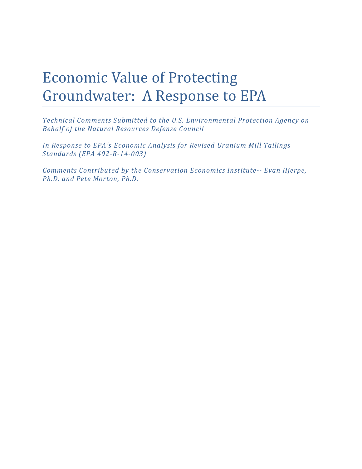# Economic Value of Protecting Groundwater: A Response to EPA

*Technical Comments Submitted to the U.S. Environmental Protection Agency on Behalf of the Natural Resources Defense Council*

*In Response to EPA's Economic Analysis for Revised Uranium Mill Tailings Standards (EPA 402-R-14-003)*

*Comments Contributed by the Conservation Economics Institute-- Evan Hjerpe, Ph.D. and Pete Morton, Ph.D.*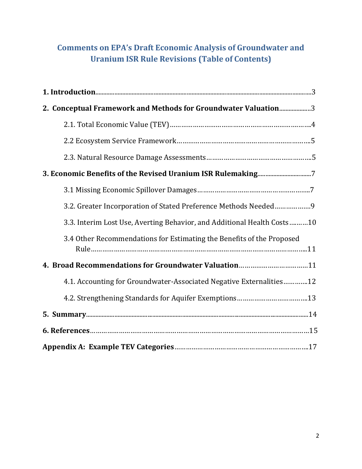# **Comments on EPA's Draft Economic Analysis of Groundwater and Uranium ISR Rule Revisions (Table of Contents)**

| 2. Conceptual Framework and Methods for Groundwater Valuation3          |  |  |  |
|-------------------------------------------------------------------------|--|--|--|
|                                                                         |  |  |  |
|                                                                         |  |  |  |
|                                                                         |  |  |  |
|                                                                         |  |  |  |
|                                                                         |  |  |  |
| 3.2. Greater Incorporation of Stated Preference Methods Needed9         |  |  |  |
| 3.3. Interim Lost Use, Averting Behavior, and Additional Health Costs10 |  |  |  |
| 3.4 Other Recommendations for Estimating the Benefits of the Proposed   |  |  |  |
| 4. Broad Recommendations for Groundwater Valuation11                    |  |  |  |
| 4.1. Accounting for Groundwater-Associated Negative Externalities12     |  |  |  |
|                                                                         |  |  |  |
|                                                                         |  |  |  |
|                                                                         |  |  |  |
|                                                                         |  |  |  |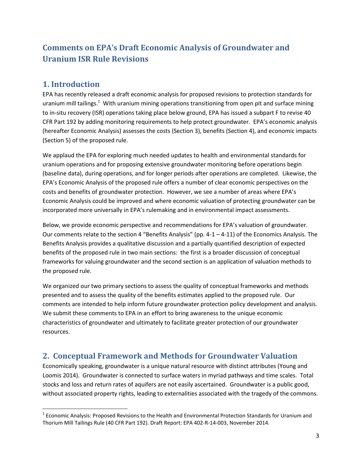## **Comments on EPA's Draft Economic Analysis of Groundwater and Uranium ISR Rule Revisions**

## **1. Introduction**

l

EPA has recently released a draft economic analysis for proposed revisions to protection standards for uranium mill tailings.<sup>1</sup> With uranium mining operations transitioning from open pit and surface mining to in-situ recovery (ISR) operations taking place below ground, EPA has issued a subpart F to revise 40 CFR Part 192 by adding monitoring requirements to help protect groundwater. EPA's economic analysis (hereafter Economic Analysis) assesses the costs (Section 3), benefits (Section 4), and economic impacts (Section 5) of the proposed rule.

We applaud the EPA for exploring much needed updates to health and environmental standards for uranium operations and for proposing extensive groundwater monitoring before operations begin (baseline data), during operations, and for longer periods after operations are completed. Likewise, the EPA's Economic Analysis of the proposed rule offers a number of clear economic perspectives on the costs and benefits of groundwater protection. However, we see a number of areas where EPA's Economic Analysis could be improved and where economic valuation of protecting groundwater can be incorporated more universally in EPA's rulemaking and in environmental impact assessments.

Below, we provide economic perspective and recommendations for EPA's valuation of groundwater. Our comments relate to the section 4 "Benefits Analysis" (pp.  $4-1-4-11$ ) of the Economics Analysis. The Benefits Analysis provides a qualitative discussion and a partially quantified description of expected benefits of the proposed rule in two main sections: the first is a broader discussion of conceptual frameworks for valuing groundwater and the second section is an application of valuation methods to the proposed rule.

We organized our two primary sections to assess the quality of conceptual frameworks and methods presented and to assess the quality of the benefits estimates applied to the proposed rule. Our comments are intended to help inform future groundwater protection policy development and analysis. We submit these comments to EPA in an effort to bring awareness to the unique economic characteristics of groundwater and ultimately to facilitate greater protection of our groundwater resources.

## **2. Conceptual Framework and Methods for Groundwater Valuation**

Economically speaking, groundwater is a unique natural resource with distinct attributes (Young and Loomis 2014). Groundwater is connected to surface waters in myriad pathways and time scales. Total stocks and loss and return rates of aquifers are not easily ascertained. Groundwater is a public good, without associated property rights, leading to externalities associated with the tragedy of the commons.

 $^1$  Economic Analysis: Proposed Revisions to the Health and Environmental Protection Standards for Uranium and Thorium Mill Tailings Rule (40 CFR Part 192). Draft Report: EPA 402-R-14-003, November 2014.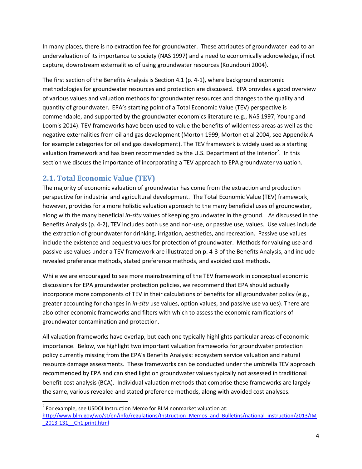In many places, there is no extraction fee for groundwater. These attributes of groundwater lead to an undervaluation of its importance to society (NAS 1997) and a need to economically acknowledge, if not capture, downstream externalities of using groundwater resources (Koundouri 2004).

The first section of the Benefits Analysis is Section 4.1 (p. 4-1), where background economic methodologies for groundwater resources and protection are discussed. EPA provides a good overview of various values and valuation methods for groundwater resources and changes to the quality and quantity of groundwater. EPA's starting point of a Total Economic Value (TEV) perspective is commendable, and supported by the groundwater economics literature (e.g., NAS 1997, Young and Loomis 2014). TEV frameworks have been used to value the benefits of wilderness areas as well as the negative externalities from oil and gas development (Morton 1999, Morton et al 2004, see Appendix A for example categories for oil and gas development). The TEV framework is widely used as a starting valuation framework and has been recommended by the U.S. Department of the Interior<sup>2</sup>. In this section we discuss the importance of incorporating a TEV approach to EPA groundwater valuation.

## **2.1. Total Economic Value (TEV)**

 $\overline{\phantom{a}}$ 

The majority of economic valuation of groundwater has come from the extraction and production perspective for industrial and agricultural development. The Total Economic Value (TEV) framework, however, provides for a more holistic valuation approach to the many beneficial uses of groundwater, along with the many beneficial *in-situ* values of keeping groundwater in the ground. As discussed in the Benefits Analysis (p. 4-2), TEV includes both use and non-use, or passive use, values. Use values include the extraction of groundwater for drinking, irrigation, aesthetics, and recreation. Passive use values include the existence and bequest values for protection of groundwater. Methods for valuing use and passive use values under a TEV framework are illustrated on p. 4-3 of the Benefits Analysis, and include revealed preference methods, stated preference methods, and avoided cost methods.

While we are encouraged to see more mainstreaming of the TEV framework in conceptual economic discussions for EPA groundwater protection policies, we recommend that EPA should actually incorporate more components of TEV in their calculations of benefits for all groundwater policy (e.g., greater accounting for changes in *in-situ* use values, option values, and passive use values). There are also other economic frameworks and filters with which to assess the economic ramifications of groundwater contamination and protection.

All valuation frameworks have overlap, but each one typically highlights particular areas of economic importance. Below, we highlight two important valuation frameworks for groundwater protection policy currently missing from the EPA's Benefits Analysis: ecosystem service valuation and natural resource damage assessments. These frameworks can be conducted under the umbrella TEV approach recommended by EPA and can shed light on groundwater values typically not assessed in traditional benefit-cost analysis (BCA). Individual valuation methods that comprise these frameworks are largely the same, various revealed and stated preference methods, along with avoided cost analyses.

 $2^{2}$  For example, see USDOI Instruction Memo for BLM nonmarket valuation at: [http://www.blm.gov/wo/st/en/info/regulations/Instruction\\_Memos\\_and\\_Bulletins/national\\_instruction/2013/IM](http://www.blm.gov/wo/st/en/info/regulations/Instruction_Memos_and_Bulletins/national_instruction/2013/IM_2013-131__Ch1.print.html) [\\_2013-131\\_\\_Ch1.print.html](http://www.blm.gov/wo/st/en/info/regulations/Instruction_Memos_and_Bulletins/national_instruction/2013/IM_2013-131__Ch1.print.html)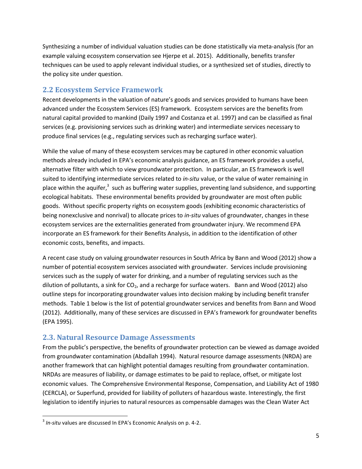Synthesizing a number of individual valuation studies can be done statistically via meta-analysis (for an example valuing ecosystem conservation see Hjerpe et al. 2015). Additionally, benefits transfer techniques can be used to apply relevant individual studies, or a synthesized set of studies, directly to the policy site under question.

#### **2.2 Ecosystem Service Framework**

Recent developments in the valuation of nature's goods and services provided to humans have been advanced under the Ecosystem Services (ES) framework. Ecosystem services are the benefits from natural capital provided to mankind (Daily 1997 and Costanza et al. 1997) and can be classified as final services (e.g. provisioning services such as drinking water) and intermediate services necessary to produce final services (e.g., regulating services such as recharging surface water).

While the value of many of these ecosystem services may be captured in other economic valuation methods already included in EPA's economic analysis guidance, an ES framework provides a useful, alternative filter with which to view groundwater protection. In particular, an ES framework is well suited to identifying intermediate services related to *in-situ* value, or the value of water remaining in place within the aquifer,<sup>3</sup> such as buffering water supplies, preventing land subsidence, and supporting ecological habitats. These environmental benefits provided by groundwater are most often public goods. Without specific property rights on ecosystem goods (exhibiting economic characteristics of being nonexclusive and nonrival) to allocate prices to *in-situ* values of groundwater, changes in these ecosystem services are the externalities generated from groundwater injury. We recommend EPA incorporate an ES framework for their Benefits Analysis, in addition to the identification of other economic costs, benefits, and impacts.

A recent case study on valuing groundwater resources in South Africa by Bann and Wood (2012) show a number of potential ecosystem services associated with groundwater. Services include provisioning services such as the supply of water for drinking, and a number of regulating services such as the dilution of pollutants, a sink for  $CO<sub>2</sub>$ , and a recharge for surface waters. Bann and Wood (2012) also outline steps for incorporating groundwater values into decision making by including benefit transfer methods. Table 1 below is the list of potential groundwater services and benefits from Bann and Wood (2012). Additionally, many of these services are discussed in EPA's framework for groundwater benefits (EPA 1995).

#### **2.3. Natural Resource Damage Assessments**

From the public's perspective, the benefits of groundwater protection can be viewed as damage avoided from groundwater contamination (Abdallah 1994). Natural resource damage assessments (NRDA) are another framework that can highlight potential damages resulting from groundwater contamination. NRDAs are measures of liability, or damage estimates to be paid to replace, offset, or mitigate lost economic values. The Comprehensive Environmental Response, Compensation, and Liability Act of 1980 (CERCLA), or Superfund, provided for liability of polluters of hazardous waste. Interestingly, the first legislation to identify injuries to natural resources as compensable damages was the Clean Water Act

 $\overline{\phantom{a}}$ 

<sup>3</sup> *In-situ* values are discussed In EPA's Economic Analysis on p. 4-2.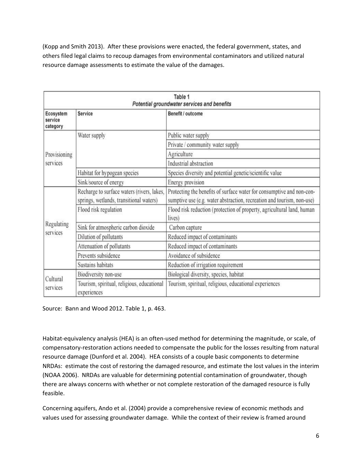(Kopp and Smith 2013). After these provisions were enacted, the federal government, states, and others filed legal claims to recoup damages from environmental contaminators and utilized natural resource damage assessments to estimate the value of the damages.

| Table 1<br>Potential groundwater services and benefits |                                                                                       |                                                                                                                                                 |  |
|--------------------------------------------------------|---------------------------------------------------------------------------------------|-------------------------------------------------------------------------------------------------------------------------------------------------|--|
| Ecosystem<br>service<br>category                       | <b>Service</b>                                                                        | Benefit / outcome                                                                                                                               |  |
| Provisioning<br>services                               | Water supply                                                                          | Public water supply                                                                                                                             |  |
|                                                        |                                                                                       | Private / community water supply                                                                                                                |  |
|                                                        |                                                                                       | Agriculture                                                                                                                                     |  |
|                                                        |                                                                                       | Industrial abstraction                                                                                                                          |  |
|                                                        | Habitat for hypogean species                                                          | Species diversity and potential genetic/scientific value                                                                                        |  |
|                                                        | Sink/source of energy                                                                 | Energy provision                                                                                                                                |  |
| Regulating<br>services                                 | Recharge to surface waters (rivers, lakes,<br>springs, wetlands, transitional waters) | Protecting the benefits of surface water for consumptive and non-con-<br>sumptive use (e.g. water abstraction, recreation and tourism, non-use) |  |
|                                                        | Flood risk regulation                                                                 | Flood risk reduction (protection of property, agricultural land, human<br>lives)                                                                |  |
|                                                        | Sink for atmospheric carbon dioxide                                                   | Carbon capture                                                                                                                                  |  |
|                                                        | Dilution of pollutants                                                                | Reduced impact of contaminants                                                                                                                  |  |
|                                                        | Attenuation of pollutants                                                             | Reduced impact of contaminants                                                                                                                  |  |
|                                                        | Prevents subsidence                                                                   | Avoidance of subsidence                                                                                                                         |  |
|                                                        | Sustains habitats                                                                     | Reduction of irrigation requirement                                                                                                             |  |
| Cultural<br>services                                   | Biodiversity non-use                                                                  | Biological diversity, species, habitat                                                                                                          |  |
|                                                        | Tourism, spiritual, religious, educational<br>experiences                             | Tourism, spiritual, religious, educational experiences                                                                                          |  |

Source: Bann and Wood 2012. Table 1, p. 463.

Habitat-equivalency analysis (HEA) is an often-used method for determining the magnitude, or scale, of compensatory-restoration actions needed to compensate the public for the losses resulting from natural resource damage (Dunford et al. 2004). HEA consists of a couple basic components to determine NRDAs: estimate the cost of restoring the damaged resource, and estimate the lost values in the interim (NOAA 2006). NRDAs are valuable for determining potential contamination of groundwater, though there are always concerns with whether or not complete restoration of the damaged resource is fully feasible.

Concerning aquifers, Ando et al. (2004) provide a comprehensive review of economic methods and values used for assessing groundwater damage. While the context of their review is framed around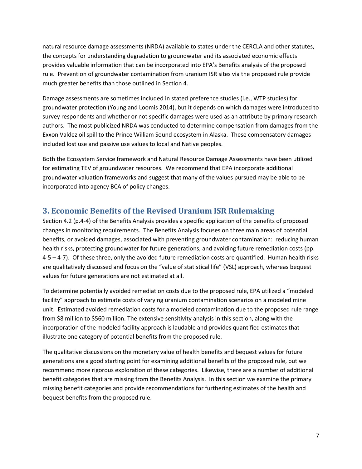natural resource damage assessments (NRDA) available to states under the CERCLA and other statutes, the concepts for understanding degradation to groundwater and its associated economic effects provides valuable information that can be incorporated into EPA's Benefits analysis of the proposed rule. Prevention of groundwater contamination from uranium ISR sites via the proposed rule provide much greater benefits than those outlined in Section 4.

Damage assessments are sometimes included in stated preference studies (i.e., WTP studies) for groundwater protection (Young and Loomis 2014), but it depends on which damages were introduced to survey respondents and whether or not specific damages were used as an attribute by primary research authors. The most publicized NRDA was conducted to determine compensation from damages from the Exxon Valdez oil spill to the Prince William Sound ecosystem in Alaska. These compensatory damages included lost use and passive use values to local and Native peoples.

Both the Ecosystem Service framework and Natural Resource Damage Assessments have been utilized for estimating TEV of groundwater resources. We recommend that EPA incorporate additional groundwater valuation frameworks and suggest that many of the values pursued may be able to be incorporated into agency BCA of policy changes.

## **3. Economic Benefits of the Revised Uranium ISR Rulemaking**

Section 4.2 (p.4-4) of the Benefits Analysis provides a specific application of the benefits of proposed changes in monitoring requirements. The Benefits Analysis focuses on three main areas of potential benefits, or avoided damages, associated with preventing groundwater contamination: reducing human health risks, protecting groundwater for future generations, and avoiding future remediation costs (pp. 4-5 – 4-7). Of these three, only the avoided future remediation costs are quantified. Human health risks are qualitatively discussed and focus on the "value of statistical life" (VSL) approach, whereas bequest values for future generations are not estimated at all.

To determine potentially avoided remediation costs due to the proposed rule, EPA utilized a "modeled facility" approach to estimate costs of varying uranium contamination scenarios on a modeled mine unit. Estimated avoided remediation costs for a modeled contamination due to the proposed rule range from \$8 million to \$560 million. The extensive sensitivity analysis in this section, along with the incorporation of the modeled facility approach is laudable and provides quantified estimates that illustrate one category of potential benefits from the proposed rule.

The qualitative discussions on the monetary value of health benefits and bequest values for future generations are a good starting point for examining additional benefits of the proposed rule, but we recommend more rigorous exploration of these categories. Likewise, there are a number of additional benefit categories that are missing from the Benefits Analysis. In this section we examine the primary missing benefit categories and provide recommendations for furthering estimates of the health and bequest benefits from the proposed rule.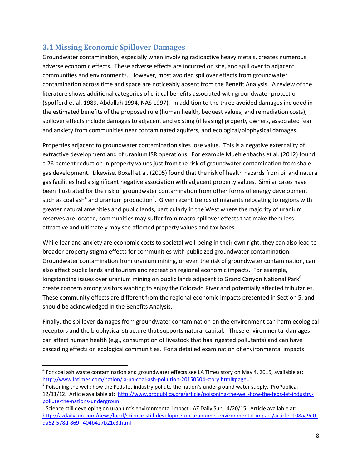#### **3.1 Missing Economic Spillover Damages**

Groundwater contamination, especially when involving radioactive heavy metals, creates numerous adverse economic effects. These adverse effects are incurred on site, and spill over to adjacent communities and environments. However, most avoided spillover effects from groundwater contamination across time and space are noticeably absent from the Benefit Analysis. A review of the literature shows additional categories of critical benefits associated with groundwater protection (Spofford et al. 1989, Abdallah 1994, NAS 1997). In addition to the three avoided damages included in the estimated benefits of the proposed rule (human health, bequest values, and remediation costs), spillover effects include damages to adjacent and existing (if leasing) property owners, associated fear and anxiety from communities near contaminated aquifers, and ecological/biophysical damages.

Properties adjacent to groundwater contamination sites lose value. This is a negative externality of extractive development and of uranium ISR operations. For example Muehlenbachs et al. (2012) found a 26 percent reduction in property values just from the risk of groundwater contamination from shale gas development. Likewise, Boxall et al. (2005) found that the risk of health hazards from oil and natural gas facilities had a significant negative association with adjacent property values. Similar cases have been illustrated for the risk of groundwater contamination from other forms of energy development such as coal ash<sup>4</sup> and uranium production<sup>5</sup>. Given recent trends of migrants relocating to regions with greater natural amenities and public lands, particularly in the West where the majority of uranium reserves are located, communities may suffer from macro spillover effects that make them less attractive and ultimately may see affected property values and tax bases.

While fear and anxiety are economic costs to societal well-being in their own right, they can also lead to broader property stigma effects for communities with publicized groundwater contamination. Groundwater contamination from uranium mining, or even the risk of groundwater contamination, can also affect public lands and tourism and recreation regional economic impacts. For example, longstanding issues over uranium mining on public lands adjacent to Grand Canyon National Park<sup>6</sup> create concern among visitors wanting to enjoy the Colorado River and potentially affected tributaries. These community effects are different from the regional economic impacts presented in Section 5, and should be acknowledged in the Benefits Analysis.

Finally, the spillover damages from groundwater contamination on the environment can harm ecological receptors and the biophysical structure that supports natural capital. These environmental damages can affect human health (e.g., consumption of livestock that has ingested pollutants) and can have cascading effects on ecological communities. For a detailed examination of environmental impacts

 $\overline{\phantom{a}}$ 

 $^4$  For coal ash waste contamination and groundwater effects see LA Times story on May 4, 2015, available at: <http://www.latimes.com/nation/la-na-coal-ash-pollution-20150504-story.html#page=1>

<sup>&</sup>lt;sup>5</sup> Poisoning the well: how the Feds let industry pollute the nation's underground water supply. ProPublica. 12/11/12. Article available at: [http://www.propublica.org/article/poisoning-the-well-how-the-feds-let-industry](http://www.propublica.org/article/poisoning-the-well-how-the-feds-let-industry-pollute-the-nations-undergroun)[pollute-the-nations-undergroun](http://www.propublica.org/article/poisoning-the-well-how-the-feds-let-industry-pollute-the-nations-undergroun) 

 $^6$  Science still developing on uranium's environmental impact. AZ Daily Sun. 4/20/15. Article available at: [http://azdailysun.com/news/local/science-still-developing-on-uranium-s-environmental-impact/article\\_108aa9e0](http://azdailysun.com/news/local/science-still-developing-on-uranium-s-environmental-impact/article_108aa9e0-da62-578d-869f-404b427b21c3.html) [da62-578d-869f-404b427b21c3.html](http://azdailysun.com/news/local/science-still-developing-on-uranium-s-environmental-impact/article_108aa9e0-da62-578d-869f-404b427b21c3.html)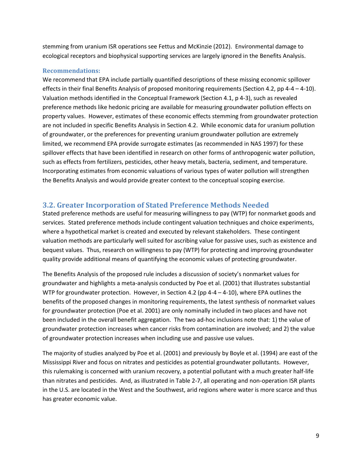stemming from uranium ISR operations see Fettus and McKinzie (2012). Environmental damage to ecological receptors and biophysical supporting services are largely ignored in the Benefits Analysis.

#### **Recommendations:**

We recommend that EPA include partially quantified descriptions of these missing economic spillover effects in their final Benefits Analysis of proposed monitoring requirements (Section 4.2, pp 4-4 – 4-10). Valuation methods identified in the Conceptual Framework (Section 4.1, p 4-3), such as revealed preference methods like hedonic pricing are available for measuring groundwater pollution effects on property values. However, estimates of these economic effects stemming from groundwater protection are not included in specific Benefits Analysis in Section 4.2. While economic data for uranium pollution of groundwater, or the preferences for preventing uranium groundwater pollution are extremely limited, we recommend EPA provide surrogate estimates (as recommended in NAS 1997) for these spillover effects that have been identified in research on other forms of anthropogenic water pollution, such as effects from fertilizers, pesticides, other heavy metals, bacteria, sediment, and temperature. Incorporating estimates from economic valuations of various types of water pollution will strengthen the Benefits Analysis and would provide greater context to the conceptual scoping exercise.

#### **3.2. Greater Incorporation of Stated Preference Methods Needed**

Stated preference methods are useful for measuring willingness to pay (WTP) for nonmarket goods and services. Stated preference methods include contingent valuation techniques and choice experiments, where a hypothetical market is created and executed by relevant stakeholders. These contingent valuation methods are particularly well suited for ascribing value for passive uses, such as existence and bequest values. Thus, research on willingness to pay (WTP) for protecting and improving groundwater quality provide additional means of quantifying the economic values of protecting groundwater.

The Benefits Analysis of the proposed rule includes a discussion of society's nonmarket values for groundwater and highlights a meta-analysis conducted by Poe et al. (2001) that illustrates substantial WTP for groundwater protection. However, in Section 4.2 (pp  $4-4-4-10$ ), where EPA outlines the benefits of the proposed changes in monitoring requirements, the latest synthesis of nonmarket values for groundwater protection (Poe et al. 2001) are only nominally included in two places and have not been included in the overall benefit aggregation. The two ad-hoc inclusions note that: 1) the value of groundwater protection increases when cancer risks from contamination are involved; and 2) the value of groundwater protection increases when including use and passive use values.

The majority of studies analyzed by Poe et al. (2001) and previously by Boyle et al. (1994) are east of the Mississippi River and focus on nitrates and pesticides as potential groundwater pollutants. However, this rulemaking is concerned with uranium recovery, a potential pollutant with a much greater half-life than nitrates and pesticides. And, as illustrated in Table 2-7, all operating and non-operation ISR plants in the U.S. are located in the West and the Southwest, arid regions where water is more scarce and thus has greater economic value.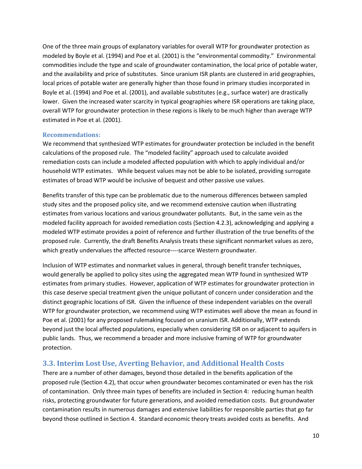One of the three main groups of explanatory variables for overall WTP for groundwater protection as modeled by Boyle et al. (1994) and Poe et al. (2001) is the "environmental commodity." Environmental commodities include the type and scale of groundwater contamination, the local price of potable water, and the availability and price of substitutes. Since uranium ISR plants are clustered in arid geographies, local prices of potable water are generally higher than those found in primary studies incorporated in Boyle et al. (1994) and Poe et al. (2001), and available substitutes (e.g., surface water) are drastically lower. Given the increased water scarcity in typical geographies where ISR operations are taking place, overall WTP for groundwater protection in these regions is likely to be much higher than average WTP estimated in Poe et al. (2001).

#### **Recommendations:**

We recommend that synthesized WTP estimates for groundwater protection be included in the benefit calculations of the proposed rule. The "modeled facility" approach used to calculate avoided remediation costs can include a modeled affected population with which to apply individual and/or household WTP estimates. While bequest values may not be able to be isolated, providing surrogate estimates of broad WTP would be inclusive of bequest and other passive use values.

Benefits transfer of this type can be problematic due to the numerous differences between sampled study sites and the proposed policy site, and we recommend extensive caution when illustrating estimates from various locations and various groundwater pollutants. But, in the same vein as the modeled facility approach for avoided remediation costs (Section 4.2.3), acknowledging and applying a modeled WTP estimate provides a point of reference and further illustration of the true benefits of the proposed rule. Currently, the draft Benefits Analysis treats these significant nonmarket values as zero, which greatly undervalues the affected resource----scarce Western groundwater.

Inclusion of WTP estimates and nonmarket values in general, through benefit transfer techniques, would generally be applied to policy sites using the aggregated mean WTP found in synthesized WTP estimates from primary studies. However, application of WTP estimates for groundwater protection in this case deserve special treatment given the unique pollutant of concern under consideration and the distinct geographic locations of ISR. Given the influence of these independent variables on the overall WTP for groundwater protection, we recommend using WTP estimates well above the mean as found in Poe et al. (2001) for any proposed rulemaking focused on uranium ISR. Additionally, WTP extends beyond just the local affected populations, especially when considering ISR on or adjacent to aquifers in public lands. Thus, we recommend a broader and more inclusive framing of WTP for groundwater protection.

#### **3.3. Interim Lost Use, Averting Behavior, and Additional Health Costs**

There are a number of other damages, beyond those detailed in the benefits application of the proposed rule (Section 4.2), that occur when groundwater becomes contaminated or even has the risk of contamination. Only three main types of benefits are included in Section 4: reducing human health risks, protecting groundwater for future generations, and avoided remediation costs. But groundwater contamination results in numerous damages and extensive liabilities for responsible parties that go far beyond those outlined in Section 4. Standard economic theory treats avoided costs as benefits. And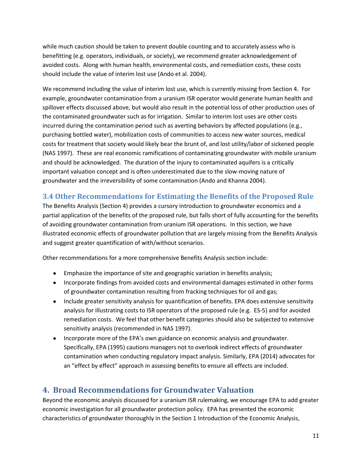while much caution should be taken to prevent double counting and to accurately assess who is benefitting (e.g. operators, individuals, or society), we recommend greater acknowledgement of avoided costs. Along with human health, environmental costs, and remediation costs, these costs should include the value of interim lost use (Ando et al. 2004).

We recommend including the value of interim lost use, which is currently missing from Section 4. For example, groundwater contamination from a uranium ISR operator would generate human health and spillover effects discussed above, but would also result in the potential loss of other production uses of the contaminated groundwater such as for irrigation. Similar to interim lost uses are other costs incurred during the contamination period such as averting behaviors by affected populations (e.g., purchasing bottled water), mobilization costs of communities to access new water sources, medical costs for treatment that society would likely bear the brunt of, and lost utility/labor of sickened people (NAS 1997). These are real economic ramifications of contaminating groundwater with mobile uranium and should be acknowledged. The duration of the injury to contaminated aquifers is a critically important valuation concept and is often underestimated due to the slow-moving nature of groundwater and the irreversibility of some contamination (Ando and Khanna 2004).

#### **3.4 Other Recommendations for Estimating the Benefits of the Proposed Rule**

The Benefits Analysis (Section 4) provides a cursory introduction to groundwater economics and a partial application of the benefits of the proposed rule, but falls short of fully accounting for the benefits of avoiding groundwater contamination from uranium ISR operations. In this section, we have illustrated economic effects of groundwater pollution that are largely missing from the Benefits Analysis and suggest greater quantification of with/without scenarios.

Other recommendations for a more comprehensive Benefits Analysis section include:

- Emphasize the importance of site and geographic variation in benefits analysis;
- Incorporate findings from avoided costs and environmental damages estimated in other forms of groundwater contamination resulting from fracking techniques for oil and gas;
- Include greater sensitivity analysis for quantification of benefits. EPA does extensive sensitivity analysis for illustrating costs to ISR operators of the proposed rule (e.g. ES-5) and for avoided remediation costs. We feel that other benefit categories should also be subjected to extensive sensitivity analysis (recommended in NAS 1997).
- Incorporate more of the EPA's own guidance on economic analysis and groundwater. Specifically, EPA (1995) cautions managers not to overlook indirect effects of groundwater contamination when conducting regulatory impact analysis. Similarly, EPA (2014) advocates for an "effect by effect" approach in assessing benefits to ensure all effects are included.

## **4. Broad Recommendations for Groundwater Valuation**

Beyond the economic analysis discussed for a uranium ISR rulemaking, we encourage EPA to add greater economic investigation for all groundwater protection policy. EPA has presented the economic characteristics of groundwater thoroughly in the Section 1 Introduction of the Economic Analysis,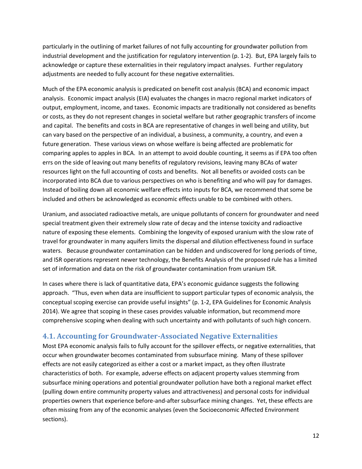particularly in the outlining of market failures of not fully accounting for groundwater pollution from industrial development and the justification for regulatory intervention (p. 1-2). But, EPA largely fails to acknowledge or capture these externalities in their regulatory impact analyses. Further regulatory adjustments are needed to fully account for these negative externalities.

Much of the EPA economic analysis is predicated on benefit cost analysis (BCA) and economic impact analysis. Economic impact analysis (EIA) evaluates the changes in macro regional market indicators of output, employment, income, and taxes. Economic impacts are traditionally not considered as benefits or costs, as they do not represent changes in societal welfare but rather geographic transfers of income and capital. The benefits and costs in BCA are representative of changes in well being and utility, but can vary based on the perspective of an individual, a business, a community, a country, and even a future generation. These various views on whose welfare is being affected are problematic for comparing apples to apples in BCA. In an attempt to avoid double counting, it seems as if EPA too often errs on the side of leaving out many benefits of regulatory revisions, leaving many BCAs of water resources light on the full accounting of costs and benefits. Not all benefits or avoided costs can be incorporated into BCA due to various perspectives on who is benefiting and who will pay for damages. Instead of boiling down all economic welfare effects into inputs for BCA, we recommend that some be included and others be acknowledged as economic effects unable to be combined with others.

Uranium, and associated radioactive metals, are unique pollutants of concern for groundwater and need special treatment given their extremely slow rate of decay and the intense toxicity and radioactive nature of exposing these elements. Combining the longevity of exposed uranium with the slow rate of travel for groundwater in many aquifers limits the dispersal and dilution effectiveness found in surface waters. Because groundwater contamination can be hidden and undiscovered for long periods of time, and ISR operations represent newer technology, the Benefits Analysis of the proposed rule has a limited set of information and data on the risk of groundwater contamination from uranium ISR.

In cases where there is lack of quantitative data, EPA's economic guidance suggests the following approach. "Thus, even when data are insufficient to support particular types of economic analysis, the conceptual scoping exercise can provide useful insights" (p. 1-2, EPA Guidelines for Economic Analysis 2014). We agree that scoping in these cases provides valuable information, but recommend more comprehensive scoping when dealing with such uncertainty and with pollutants of such high concern.

#### **4.1. Accounting for Groundwater-Associated Negative Externalities**

Most EPA economic analysis fails to fully account for the spillover effects, or negative externalities, that occur when groundwater becomes contaminated from subsurface mining. Many of these spillover effects are not easily categorized as either a cost or a market impact, as they often illustrate characteristics of both. For example, adverse effects on adjacent property values stemming from subsurface mining operations and potential groundwater pollution have both a regional market effect (pulling down entire community property values and attractiveness) and personal costs for individual properties owners that experience before-and-after subsurface mining changes. Yet, these effects are often missing from any of the economic analyses (even the Socioeconomic Affected Environment sections).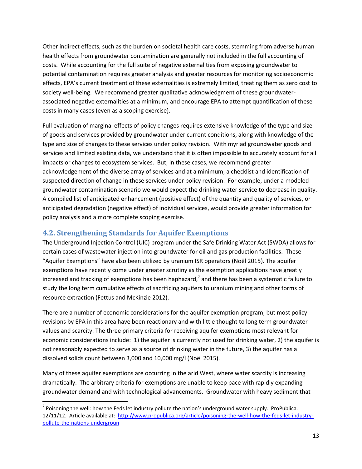Other indirect effects, such as the burden on societal health care costs, stemming from adverse human health effects from groundwater contamination are generally not included in the full accounting of costs. While accounting for the full suite of negative externalities from exposing groundwater to potential contamination requires greater analysis and greater resources for monitoring socioeconomic effects, EPA's current treatment of these externalities is extremely limited, treating them as zero cost to society well-being. We recommend greater qualitative acknowledgment of these groundwaterassociated negative externalities at a minimum, and encourage EPA to attempt quantification of these costs in many cases (even as a scoping exercise).

Full evaluation of marginal effects of policy changes requires extensive knowledge of the type and size of goods and services provided by groundwater under current conditions, along with knowledge of the type and size of changes to these services under policy revision. With myriad groundwater goods and services and limited existing data, we understand that it is often impossible to accurately account for all impacts or changes to ecosystem services. But, in these cases, we recommend greater acknowledgement of the diverse array of services and at a minimum, a checklist and identification of suspected direction of change in these services under policy revision. For example, under a modeled groundwater contamination scenario we would expect the drinking water service to decrease in quality. A compiled list of anticipated enhancement (positive effect) of the quantity and quality of services, or anticipated degradation (negative effect) of individual services, would provide greater information for policy analysis and a more complete scoping exercise.

#### **4.2. Strengthening Standards for Aquifer Exemptions**

 $\overline{\phantom{a}}$ 

The Underground Injection Control (UIC) program under the Safe Drinking Water Act (SWDA) allows for certain cases of wastewater injection into groundwater for oil and gas production facilities. These "Aquifer Exemptions" have also been utilized by uranium ISR operators (Noël 2015). The aquifer exemptions have recently come under greater scrutiny as the exemption applications have greatly increased and tracking of exemptions has been haphazard,<sup>7</sup> and there has been a systematic failure to study the long term cumulative effects of sacrificing aquifers to uranium mining and other forms of resource extraction (Fettus and McKinzie 2012).

There are a number of economic considerations for the aquifer exemption program, but most policy revisions by EPA in this area have been reactionary and with little thought to long term groundwater values and scarcity. The three primary criteria for receiving aquifer exemptions most relevant for economic considerations include: 1) the aquifer is currently not used for drinking water, 2) the aquifer is not reasonably expected to serve as a source of drinking water in the future, 3) the aquifer has a dissolved solids count between 3,000 and 10,000 mg/l (Noël 2015).

Many of these aquifer exemptions are occurring in the arid West, where water scarcity is increasing dramatically. The arbitrary criteria for exemptions are unable to keep pace with rapidly expanding groundwater demand and with technological advancements. Groundwater with heavy sediment that

 $^7$  Poisoning the well: how the Feds let industry pollute the nation's underground water supply. ProPublica. 12/11/12. Article available at: [http://www.propublica.org/article/poisoning-the-well-how-the-feds-let-industry](http://www.propublica.org/article/poisoning-the-well-how-the-feds-let-industry-pollute-the-nations-undergroun)[pollute-the-nations-undergroun](http://www.propublica.org/article/poisoning-the-well-how-the-feds-let-industry-pollute-the-nations-undergroun)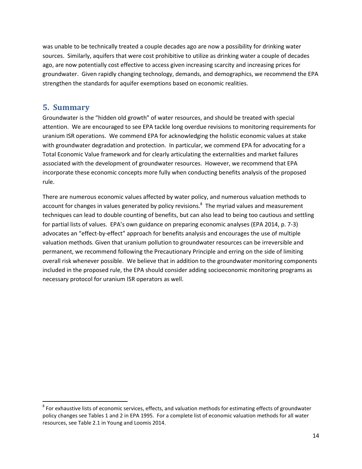was unable to be technically treated a couple decades ago are now a possibility for drinking water sources. Similarly, aquifers that were cost prohibitive to utilize as drinking water a couple of decades ago, are now potentially cost effective to access given increasing scarcity and increasing prices for groundwater. Given rapidly changing technology, demands, and demographics, we recommend the EPA strengthen the standards for aquifer exemptions based on economic realities.

#### **5. Summary**

 $\overline{\phantom{a}}$ 

Groundwater is the "hidden old growth" of water resources, and should be treated with special attention. We are encouraged to see EPA tackle long overdue revisions to monitoring requirements for uranium ISR operations. We commend EPA for acknowledging the holistic economic values at stake with groundwater degradation and protection. In particular, we commend EPA for advocating for a Total Economic Value framework and for clearly articulating the externalities and market failures associated with the development of groundwater resources. However, we recommend that EPA incorporate these economic concepts more fully when conducting benefits analysis of the proposed rule.

There are numerous economic values affected by water policy, and numerous valuation methods to account for changes in values generated by policy revisions.<sup>8</sup> The myriad values and measurement techniques can lead to double counting of benefits, but can also lead to being too cautious and settling for partial lists of values. EPA's own guidance on preparing economic analyses (EPA 2014, p. 7-3) advocates an "effect-by-effect" approach for benefits analysis and encourages the use of multiple valuation methods. Given that uranium pollution to groundwater resources can be irreversible and permanent, we recommend following the Precautionary Principle and erring on the side of limiting overall risk whenever possible. We believe that in addition to the groundwater monitoring components included in the proposed rule, the EPA should consider adding socioeconomic monitoring programs as necessary protocol for uranium ISR operators as well.

 $^8$  For exhaustive lists of economic services, effects, and valuation methods for estimating effects of groundwater policy changes see Tables 1 and 2 in EPA 1995. For a complete list of economic valuation methods for all water resources, see Table 2.1 in Young and Loomis 2014.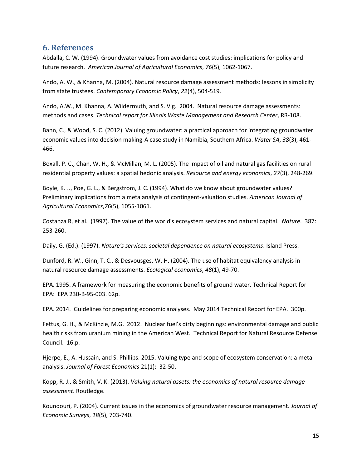#### **6. References**

Abdalla, C. W. (1994). Groundwater values from avoidance cost studies: implications for policy and future research. *American Journal of Agricultural Economics*, *76*(5), 1062-1067.

Ando, A. W., & Khanna, M. (2004). Natural resource damage assessment methods: lessons in simplicity from state trustees. *Contemporary Economic Policy*, *22*(4), 504-519.

Ando, A.W., M. Khanna, A. Wildermuth, and S. Vig. 2004. Natural resource damage assessments: methods and cases. *Technical report for Illinois Waste Management and Research Center*, RR-108.

Bann, C., & Wood, S. C. (2012). Valuing groundwater: a practical approach for integrating groundwater economic values into decision making-A case study in Namibia, Southern Africa. *Water SA*, *38*(3), 461- 466.

Boxall, P. C., Chan, W. H., & McMillan, M. L. (2005). The impact of oil and natural gas facilities on rural residential property values: a spatial hedonic analysis. *Resource and energy economics*, *27*(3), 248-269.

Boyle, K. J., Poe, G. L., & Bergstrom, J. C. (1994). What do we know about groundwater values? Preliminary implications from a meta analysis of contingent-valuation studies. *American Journal of Agricultural Economics*,*76*(5), 1055-1061.

Costanza R, et al. (1997). The value of the world's ecosystem services and natural capital. *Nature*. 387: 253-260.

Daily, G. (Ed.). (1997). *Nature's services: societal dependence on natural ecosystems*. Island Press.

Dunford, R. W., Ginn, T. C., & Desvousges, W. H. (2004). The use of habitat equivalency analysis in natural resource damage assessments. *Ecological economics*, *48*(1), 49-70.

EPA. 1995. A framework for measuring the economic benefits of ground water. Technical Report for EPA: EPA 230-B-95-003. 62p.

EPA. 2014. Guidelines for preparing economic analyses. May 2014 Technical Report for EPA. 300p.

Fettus, G. H., & McKinzie, M.G. 2012. Nuclear fuel's dirty beginnings: environmental damage and public health risks from uranium mining in the American West. Technical Report for Natural Resource Defense Council. 16.p.

Hjerpe, E., A. Hussain, and S. Phillips. 2015. Valuing type and scope of ecosystem conservation: a metaanalysis. *Journal of Forest Economics* 21(1): 32-50.

Kopp, R. J., & Smith, V. K. (2013). *Valuing natural assets: the economics of natural resource damage assessment*. Routledge.

Koundouri, P. (2004). Current issues in the economics of groundwater resource management. *Journal of Economic Surveys*, *18*(5), 703-740.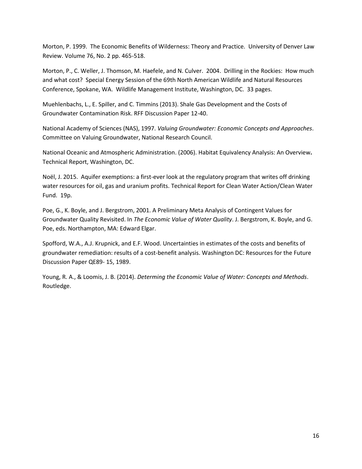Morton, P. 1999. The Economic Benefits of Wilderness: Theory and Practice. University of Denver Law Review. Volume 76, No. 2 pp. 465-518.

Morton, P., C. Weller, J. Thomson, M. Haefele, and N. Culver. 2004. Drilling in the Rockies: How much and what cost? Special Energy Session of the 69th North American Wildlife and Natural Resources Conference, Spokane, WA. Wildlife Management Institute, Washington, DC. 33 pages.

Muehlenbachs, L., E. Spiller, and C. Timmins (2013). Shale Gas Development and the Costs of Groundwater Contamination Risk. RFF Discussion Paper 12-40.

National Academy of Sciences (NAS), 1997. *Valuing Groundwater: Economic Concepts and Approaches*. Committee on Valuing Groundwater, National Research Council.

National Oceanic and Atmospheric Administration. (2006). Habitat Equivalency Analysis: An Overview**.**  Technical Report, Washington, DC.

Noël, J. 2015. Aquifer exemptions: a first-ever look at the regulatory program that writes off drinking water resources for oil, gas and uranium profits. Technical Report for Clean Water Action/Clean Water Fund. 19p.

Poe, G., K. Boyle, and J. Bergstrom, 2001. A Preliminary Meta Analysis of Contingent Values for Groundwater Quality Revisited. In *The Economic Value of Water Quality*. J. Bergstrom, K. Boyle, and G. Poe, eds. Northampton, MA: Edward Elgar.

Spofford, W.A., A.J. Krupnick, and E.F. Wood. Uncertainties in estimates of the costs and benefits of groundwater remediation: results of a cost-benefit analysis. Washington DC: Resources for the Future Discussion Paper QE89- 15, 1989.

Young, R. A., & Loomis, J. B. (2014). *Determing the Economic Value of Water: Concepts and Methods*. Routledge.